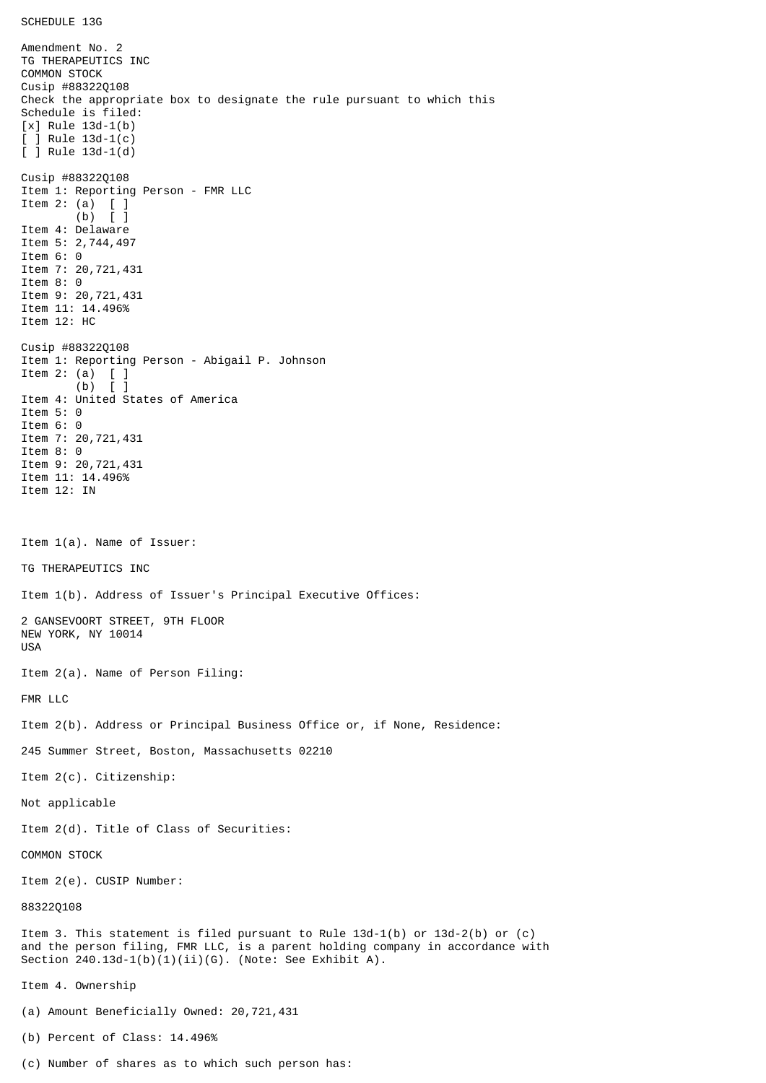Amendment No. 2 TG THERAPEUTICS INC COMMON STOCK Cusip #88322Q108 Check the appropriate box to designate the rule pursuant to which this Schedule is filed: [x] Rule 13d-1(b) [ ] Rule 13d-1(c) [ ] Rule 13d-1(d) Cusip #88322Q108 Item 1: Reporting Person - FMR LLC Item 2: (a) [ ] (b) [ ] Item 4: Delaware Item 5: 2,744,497 Item 6: 0 Item 7: 20,721,431 Item 8: 0 Item 9: 20,721,431 Item 11: 14.496% Item 12: HC Cusip #88322Q108 Item 1: Reporting Person - Abigail P. Johnson Item 2: (a)  $[$  ]<br>(b)  $[$  ]  $(b)$ Item 4: United States of America Item 5: 0 Item 6: 0 Item 7: 20,721,431 Item 8: 0 Item 9: 20,721,431 Item 11: 14.496% Item 12: IN Item 1(a). Name of Issuer: TG THERAPEUTICS INC Item 1(b). Address of Issuer's Principal Executive Offices: 2 GANSEVOORT STREET, 9TH FLOOR NEW YORK, NY 10014 USA Item 2(a). Name of Person Filing: FMR LLC Item 2(b). Address or Principal Business Office or, if None, Residence: 245 Summer Street, Boston, Massachusetts 02210 Item 2(c). Citizenship: Not applicable Item 2(d). Title of Class of Securities: COMMON STOCK Item 2(e). CUSIP Number: 88322Q108 Item 3. This statement is filed pursuant to Rule 13d-1(b) or 13d-2(b) or (c) and the person filing, FMR LLC, is a parent holding company in accordance with Section  $240.13d-1(b)(1)(ii)(G)$ . (Note: See Exhibit A). Item 4. Ownership (a) Amount Beneficially Owned: 20,721,431 (b) Percent of Class: 14.496%

(c) Number of shares as to which such person has: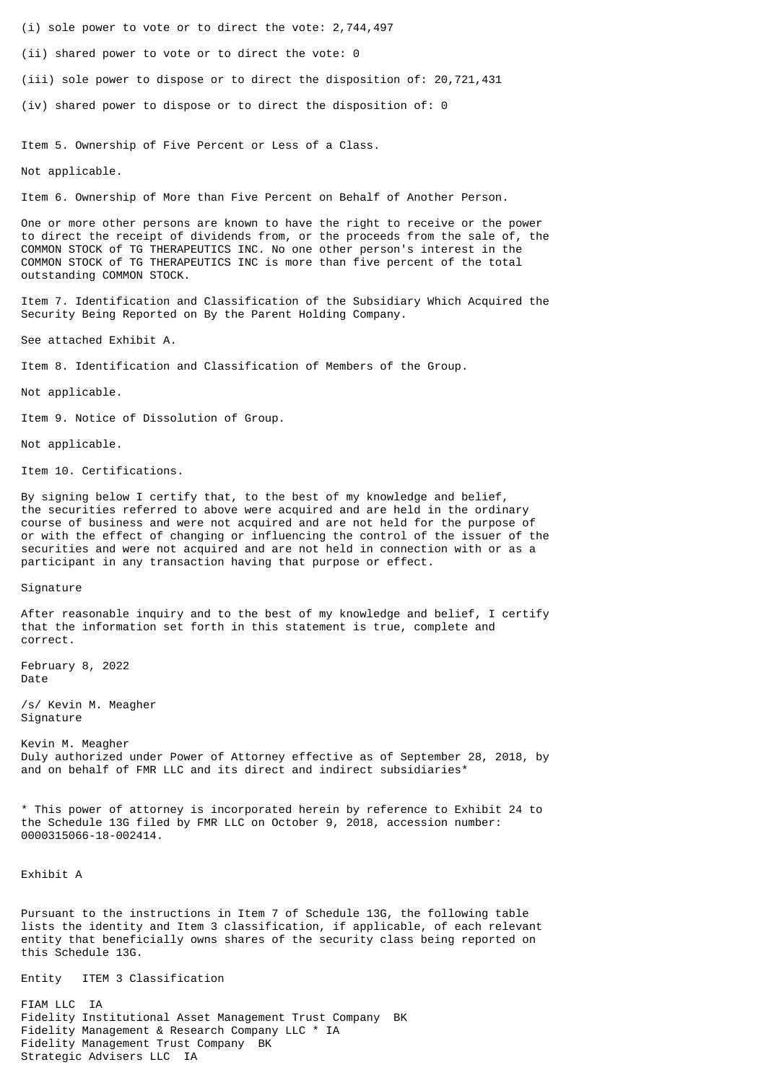- (i) sole power to vote or to direct the vote: 2,744,497
- (ii) shared power to vote or to direct the vote: 0
- (iii) sole power to dispose or to direct the disposition of: 20,721,431
- (iv) shared power to dispose or to direct the disposition of: 0

Item 5. Ownership of Five Percent or Less of a Class.

Not applicable.

Item 6. Ownership of More than Five Percent on Behalf of Another Person.

One or more other persons are known to have the right to receive or the power to direct the receipt of dividends from, or the proceeds from the sale of, the COMMON STOCK of TG THERAPEUTICS INC. No one other person's interest in the COMMON STOCK of TG THERAPEUTICS INC is more than five percent of the total outstanding COMMON STOCK.

Item 7. Identification and Classification of the Subsidiary Which Acquired the Security Being Reported on By the Parent Holding Company.

See attached Exhibit A.

Item 8. Identification and Classification of Members of the Group.

Not applicable.

Item 9. Notice of Dissolution of Group.

Not applicable.

Item 10. Certifications.

By signing below I certify that, to the best of my knowledge and belief, the securities referred to above were acquired and are held in the ordinary course of business and were not acquired and are not held for the purpose of or with the effect of changing or influencing the control of the issuer of the securities and were not acquired and are not held in connection with or as a participant in any transaction having that purpose or effect.

Signature

After reasonable inquiry and to the best of my knowledge and belief, I certify that the information set forth in this statement is true, complete and correct.

February 8, 2022 Date

/s/ Kevin M. Meagher Signature

Kevin M. Meagher Duly authorized under Power of Attorney effective as of September 28, 2018, by and on behalf of FMR LLC and its direct and indirect subsidiaries\*

\* This power of attorney is incorporated herein by reference to Exhibit 24 to the Schedule 13G filed by FMR LLC on October 9, 2018, accession number: 0000315066-18-002414.

Exhibit A

Pursuant to the instructions in Item 7 of Schedule 13G, the following table lists the identity and Item 3 classification, if applicable, of each relevant entity that beneficially owns shares of the security class being reported on this Schedule 13G.

Entity ITEM 3 Classification

FIAM LLC IA Fidelity Institutional Asset Management Trust Company BK Fidelity Management & Research Company LLC \* IA Fidelity Management Trust Company BK Strategic Advisers LLC IA